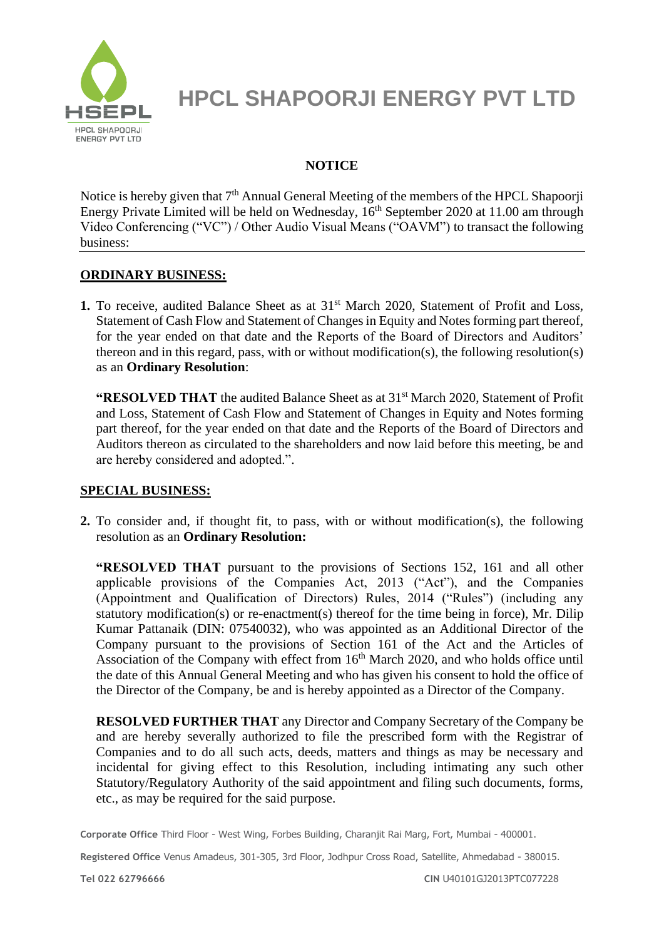

### **NOTICE**

Notice is hereby given that  $7<sup>th</sup>$  Annual General Meeting of the members of the HPCL Shapoorji Energy Private Limited will be held on Wednesday,  $16<sup>th</sup>$  September 2020 at 11.00 am through Video Conferencing ("VC") / Other Audio Visual Means ("OAVM") to transact the following business:

### **ORDINARY BUSINESS:**

1. To receive, audited Balance Sheet as at 31<sup>st</sup> March 2020, Statement of Profit and Loss, Statement of Cash Flow and Statement of Changes in Equity and Notes forming part thereof, for the year ended on that date and the Reports of the Board of Directors and Auditors' thereon and in this regard, pass, with or without modification(s), the following resolution(s) as an **Ordinary Resolution**:

**"RESOLVED THAT** the audited Balance Sheet as at 31st March 2020, Statement of Profit and Loss, Statement of Cash Flow and Statement of Changes in Equity and Notes forming part thereof, for the year ended on that date and the Reports of the Board of Directors and Auditors thereon as circulated to the shareholders and now laid before this meeting, be and are hereby considered and adopted.".

### **SPECIAL BUSINESS:**

**2.** To consider and, if thought fit, to pass, with or without modification(s), the following resolution as an **Ordinary Resolution:**

**"RESOLVED THAT** pursuant to the provisions of Sections 152, 161 and all other applicable provisions of the Companies Act, 2013 ("Act"), and the Companies (Appointment and Qualification of Directors) Rules, 2014 ("Rules") (including any statutory modification(s) or re-enactment(s) thereof for the time being in force), Mr. Dilip Kumar Pattanaik (DIN: 07540032), who was appointed as an Additional Director of the Company pursuant to the provisions of Section 161 of the Act and the Articles of Association of the Company with effect from  $16<sup>th</sup>$  March 2020, and who holds office until the date of this Annual General Meeting and who has given his consent to hold the office of the Director of the Company, be and is hereby appointed as a Director of the Company.

**RESOLVED FURTHER THAT** any Director and Company Secretary of the Company be and are hereby severally authorized to file the prescribed form with the Registrar of Companies and to do all such acts, deeds, matters and things as may be necessary and incidental for giving effect to this Resolution, including intimating any such other Statutory/Regulatory Authority of the said appointment and filing such documents, forms, etc., as may be required for the said purpose.

**Corporate Office** Third Floor - West Wing, Forbes Building, Charanjit Rai Marg, Fort, Mumbai - 400001.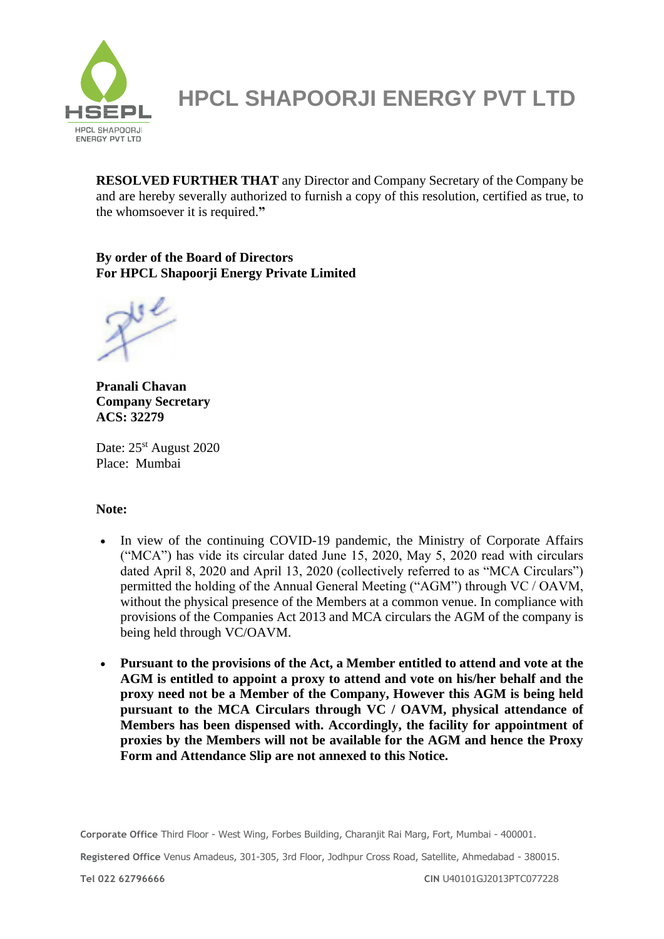

**RESOLVED FURTHER THAT** any Director and Company Secretary of the Company be and are hereby severally authorized to furnish a copy of this resolution, certified as true, to the whomsoever it is required.**"**

#### **By order of the Board of Directors For HPCL Shapoorji Energy Private Limited**

**Pranali Chavan Company Secretary ACS: 32279**

Date: 25<sup>st</sup> August 2020 Place: Mumbai

### **Note:**

- In view of the continuing COVID-19 pandemic, the Ministry of Corporate Affairs ("MCA") has vide its circular dated June 15, 2020, May 5, 2020 read with circulars dated April 8, 2020 and April 13, 2020 (collectively referred to as "MCA Circulars") permitted the holding of the Annual General Meeting ("AGM") through VC / OAVM, without the physical presence of the Members at a common venue. In compliance with provisions of the Companies Act 2013 and MCA circulars the AGM of the company is being held through VC/OAVM.
- **Pursuant to the provisions of the Act, a Member entitled to attend and vote at the AGM is entitled to appoint a proxy to attend and vote on his/her behalf and the proxy need not be a Member of the Company, However this AGM is being held pursuant to the MCA Circulars through VC / OAVM, physical attendance of Members has been dispensed with. Accordingly, the facility for appointment of proxies by the Members will not be available for the AGM and hence the Proxy Form and Attendance Slip are not annexed to this Notice.**

**Corporate Office** Third Floor - West Wing, Forbes Building, Charanjit Rai Marg, Fort, Mumbai - 400001.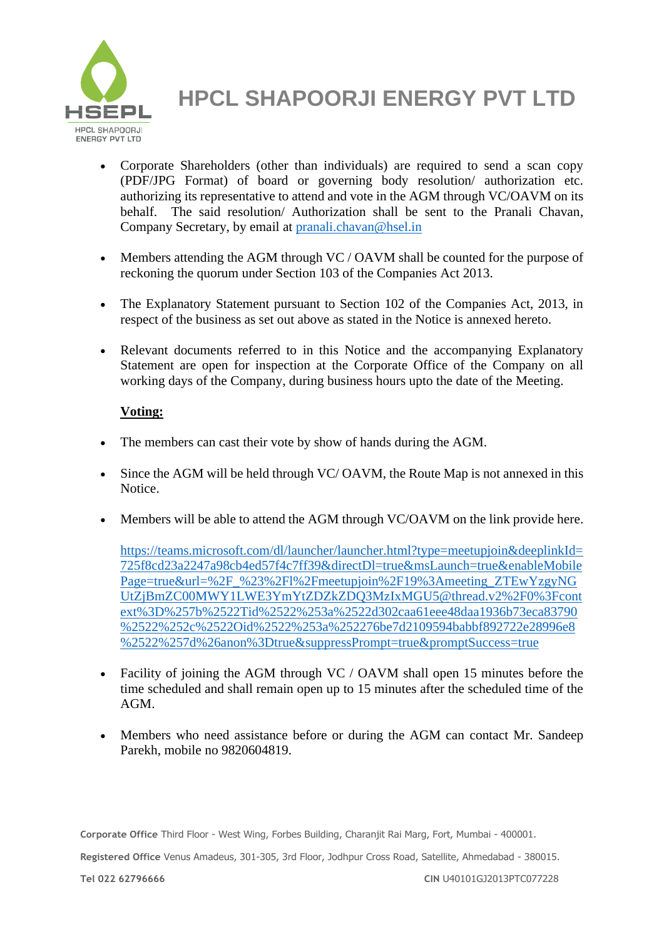

- Corporate Shareholders (other than individuals) are required to send a scan copy (PDF/JPG Format) of board or governing body resolution/ authorization etc. authorizing its representative to attend and vote in the AGM through VC/OAVM on its behalf. The said resolution/ Authorization shall be sent to the Pranali Chavan, Company Secretary, by email at [pranali.chavan@hsel.in](mailto:pranali.chavan@hsel.in)
- Members attending the AGM through VC / OAVM shall be counted for the purpose of reckoning the quorum under Section 103 of the Companies Act 2013.
- The Explanatory Statement pursuant to Section 102 of the Companies Act, 2013, in respect of the business as set out above as stated in the Notice is annexed hereto.
- Relevant documents referred to in this Notice and the accompanying Explanatory Statement are open for inspection at the Corporate Office of the Company on all working days of the Company, during business hours upto the date of the Meeting.

### **Voting:**

- The members can cast their vote by show of hands during the AGM.
- Since the AGM will be held through VC/ OAVM, the Route Map is not annexed in this Notice.
- Members will be able to attend the AGM through VC/OAVM on the link provide here.

[https://teams.microsoft.com/dl/launcher/launcher.html?type=meetupjoin&deeplinkId=](https://teams.microsoft.com/dl/launcher/launcher.html?type=meetupjoin&deeplinkId=725f8cd23a2247a98cb4ed57f4c7ff39&directDl=true&msLaunch=true&enableMobilePage=true&url=%2F_%23%2Fl%2Fmeetupjoin%2F19%3Ameeting_ZTEwYzgyNGUtZjBmZC00MWY1LWE3YmYtZDZkZDQ3MzIxMGU5@thread.v2%2F0%3Fcontext%3D%257b%2522Tid%2522%253a%2522d302caa61eee48daa1936b73eca83790%2522%252c%2522Oid%2522%253a%252276be7d2109594babbf892722e28996e8%2522%257d%26anon%3Dtrue&suppressPrompt=true&promptSuccess=true) [725f8cd23a2247a98cb4ed57f4c7ff39&directDl=true&msLaunch=true&enableMobile](https://teams.microsoft.com/dl/launcher/launcher.html?type=meetupjoin&deeplinkId=725f8cd23a2247a98cb4ed57f4c7ff39&directDl=true&msLaunch=true&enableMobilePage=true&url=%2F_%23%2Fl%2Fmeetupjoin%2F19%3Ameeting_ZTEwYzgyNGUtZjBmZC00MWY1LWE3YmYtZDZkZDQ3MzIxMGU5@thread.v2%2F0%3Fcontext%3D%257b%2522Tid%2522%253a%2522d302caa61eee48daa1936b73eca83790%2522%252c%2522Oid%2522%253a%252276be7d2109594babbf892722e28996e8%2522%257d%26anon%3Dtrue&suppressPrompt=true&promptSuccess=true) [Page=true&url=%2F\\_%23%2Fl%2Fmeetupjoin%2F19%3Ameeting\\_ZTEwYzgyNG](https://teams.microsoft.com/dl/launcher/launcher.html?type=meetupjoin&deeplinkId=725f8cd23a2247a98cb4ed57f4c7ff39&directDl=true&msLaunch=true&enableMobilePage=true&url=%2F_%23%2Fl%2Fmeetupjoin%2F19%3Ameeting_ZTEwYzgyNGUtZjBmZC00MWY1LWE3YmYtZDZkZDQ3MzIxMGU5@thread.v2%2F0%3Fcontext%3D%257b%2522Tid%2522%253a%2522d302caa61eee48daa1936b73eca83790%2522%252c%2522Oid%2522%253a%252276be7d2109594babbf892722e28996e8%2522%257d%26anon%3Dtrue&suppressPrompt=true&promptSuccess=true) [UtZjBmZC00MWY1LWE3YmYtZDZkZDQ3MzIxMGU5@thread.v2%2F0%3Fcont](https://teams.microsoft.com/dl/launcher/launcher.html?type=meetupjoin&deeplinkId=725f8cd23a2247a98cb4ed57f4c7ff39&directDl=true&msLaunch=true&enableMobilePage=true&url=%2F_%23%2Fl%2Fmeetupjoin%2F19%3Ameeting_ZTEwYzgyNGUtZjBmZC00MWY1LWE3YmYtZDZkZDQ3MzIxMGU5@thread.v2%2F0%3Fcontext%3D%257b%2522Tid%2522%253a%2522d302caa61eee48daa1936b73eca83790%2522%252c%2522Oid%2522%253a%252276be7d2109594babbf892722e28996e8%2522%257d%26anon%3Dtrue&suppressPrompt=true&promptSuccess=true) [ext%3D%257b%2522Tid%2522%253a%2522d302caa61eee48daa1936b73eca83790](https://teams.microsoft.com/dl/launcher/launcher.html?type=meetupjoin&deeplinkId=725f8cd23a2247a98cb4ed57f4c7ff39&directDl=true&msLaunch=true&enableMobilePage=true&url=%2F_%23%2Fl%2Fmeetupjoin%2F19%3Ameeting_ZTEwYzgyNGUtZjBmZC00MWY1LWE3YmYtZDZkZDQ3MzIxMGU5@thread.v2%2F0%3Fcontext%3D%257b%2522Tid%2522%253a%2522d302caa61eee48daa1936b73eca83790%2522%252c%2522Oid%2522%253a%252276be7d2109594babbf892722e28996e8%2522%257d%26anon%3Dtrue&suppressPrompt=true&promptSuccess=true) [%2522%252c%2522Oid%2522%253a%252276be7d2109594babbf892722e28996e8](https://teams.microsoft.com/dl/launcher/launcher.html?type=meetupjoin&deeplinkId=725f8cd23a2247a98cb4ed57f4c7ff39&directDl=true&msLaunch=true&enableMobilePage=true&url=%2F_%23%2Fl%2Fmeetupjoin%2F19%3Ameeting_ZTEwYzgyNGUtZjBmZC00MWY1LWE3YmYtZDZkZDQ3MzIxMGU5@thread.v2%2F0%3Fcontext%3D%257b%2522Tid%2522%253a%2522d302caa61eee48daa1936b73eca83790%2522%252c%2522Oid%2522%253a%252276be7d2109594babbf892722e28996e8%2522%257d%26anon%3Dtrue&suppressPrompt=true&promptSuccess=true) [%2522%257d%26anon%3Dtrue&suppressPrompt=true&promptSuccess=true](https://teams.microsoft.com/dl/launcher/launcher.html?type=meetupjoin&deeplinkId=725f8cd23a2247a98cb4ed57f4c7ff39&directDl=true&msLaunch=true&enableMobilePage=true&url=%2F_%23%2Fl%2Fmeetupjoin%2F19%3Ameeting_ZTEwYzgyNGUtZjBmZC00MWY1LWE3YmYtZDZkZDQ3MzIxMGU5@thread.v2%2F0%3Fcontext%3D%257b%2522Tid%2522%253a%2522d302caa61eee48daa1936b73eca83790%2522%252c%2522Oid%2522%253a%252276be7d2109594babbf892722e28996e8%2522%257d%26anon%3Dtrue&suppressPrompt=true&promptSuccess=true)

- Facility of joining the AGM through VC / OAVM shall open 15 minutes before the time scheduled and shall remain open up to 15 minutes after the scheduled time of the AGM.
- Members who need assistance before or during the AGM can contact Mr. Sandeep Parekh, mobile no 9820604819.

**Corporate Office** Third Floor - West Wing, Forbes Building, Charanjit Rai Marg, Fort, Mumbai - 400001.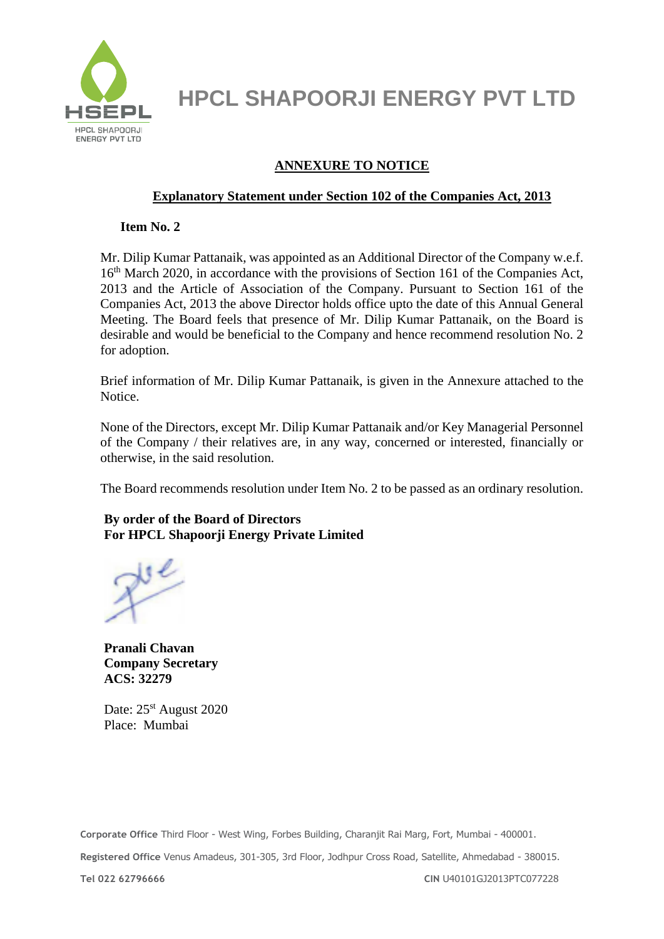

### **ANNEXURE TO NOTICE**

### **Explanatory Statement under Section 102 of the Companies Act, 2013**

**Item No. 2**

Mr. Dilip Kumar Pattanaik, was appointed as an Additional Director of the Company w.e.f. 16<sup>th</sup> March 2020, in accordance with the provisions of Section 161 of the Companies Act, 2013 and the Article of Association of the Company. Pursuant to Section 161 of the Companies Act, 2013 the above Director holds office upto the date of this Annual General Meeting. The Board feels that presence of Mr. Dilip Kumar Pattanaik, on the Board is desirable and would be beneficial to the Company and hence recommend resolution No. 2 for adoption.

Brief information of Mr. Dilip Kumar Pattanaik, is given in the Annexure attached to the Notice.

None of the Directors, except Mr. Dilip Kumar Pattanaik and/or Key Managerial Personnel of the Company / their relatives are, in any way, concerned or interested, financially or otherwise, in the said resolution.

The Board recommends resolution under Item No. 2 to be passed as an ordinary resolution.

### **By order of the Board of Directors For HPCL Shapoorji Energy Private Limited**

**Pranali Chavan Company Secretary ACS: 32279**

Date: 25<sup>st</sup> August 2020 Place: Mumbai

**Corporate Office** Third Floor - West Wing, Forbes Building, Charanjit Rai Marg, Fort, Mumbai - 400001. **Registered Office** Venus Amadeus, 301-305, 3rd Floor, Jodhpur Cross Road, Satellite, Ahmedabad - 380015.